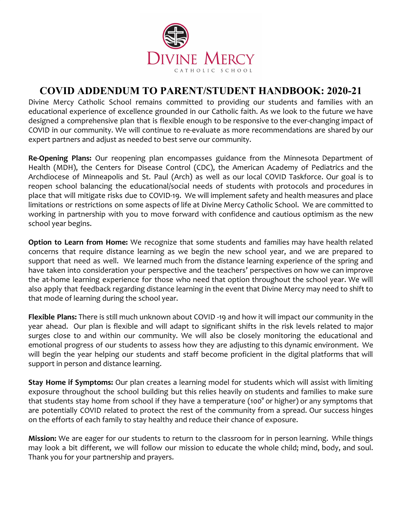

# **COVID ADDENDUM TO PARENT/STUDENT HANDBOOK: 2020-21**

Divine Mercy Catholic School remains committed to providing our students and families with an educational experience of excellence grounded in our Catholic faith. As we look to the future we have designed a comprehensive plan that is flexible enough to be responsive to the ever-changing impact of COVID in our community. We will continue to re-evaluate as more recommendations are shared by our expert partners and adjust as needed to best serve our community.

**Re-Opening Plans:** Our reopening plan encompasses guidance from the Minnesota Department of Health (MDH), the Centers for Disease Control (CDC), the American Academy of Pediatrics and the Archdiocese of Minneapolis and St. Paul (Arch) as well as our local COVID Taskforce. Our goal is to reopen school balancing the educational/social needs of students with protocols and procedures in place that will mitigate risks due to COVID-19. We will implement safety and health measures and place limitations or restrictions on some aspects of life at Divine Mercy Catholic School. We are committed to working in partnership with you to move forward with confidence and cautious optimism as the new school year begins.

**Option to Learn from Home:** We recognize that some students and families may have health related concerns that require distance learning as we begin the new school year, and we are prepared to support that need as well. We learned much from the distance learning experience of the spring and have taken into consideration your perspective and the teachers' perspectives on how we can improve the at-home learning experience for those who need that option throughout the school year. We will also apply that feedback regarding distance learning in the event that Divine Mercy may need to shift to that mode of learning during the school year.

**Flexible Plans:** There is still much unknown about COVID -19 and how it will impact our community in the year ahead. Our plan is flexible and will adapt to significant shifts in the risk levels related to major surges close to and within our community. We will also be closely monitoring the educational and emotional progress of our students to assess how they are adjusting to this dynamic environment. We will begin the year helping our students and staff become proficient in the digital platforms that will support in person and distance learning.

**Stay Home if Symptoms:** Our plan creates a learning model for students which will assist with limiting exposure throughout the school building but this relies heavily on students and families to make sure that students stay home from school if they have a temperature (100° or higher) or any symptoms that are potentially COVID related to protect the rest of the community from a spread. Our success hinges on the efforts of each family to stay healthy and reduce their chance of exposure.

**Mission:** We are eager for our students to return to the classroom for in person learning. While things may look a bit different, we will follow our mission to educate the whole child; mind, body, and soul. Thank you for your partnership and prayers.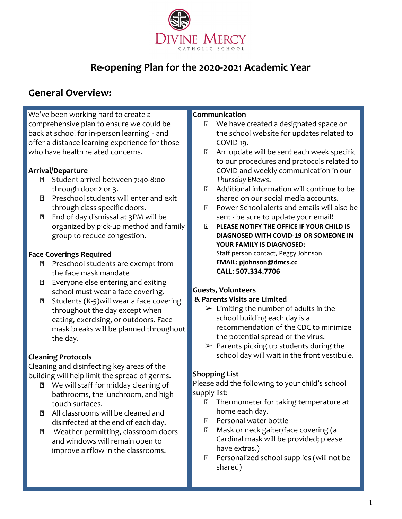

# **Re-opening Plan for the 2020-2021 Academic Year**

# **General Overview:**

We've been working hard to create a comprehensive plan to ensure we could be back at school for in-person learning - and offer a distance learning experience for those who have health related concerns.

#### **Arrival/Departure**

- Student arrival between 7:40-8:00 through door 2 or 3.
- **2** Preschool students will enter and exit through class specific doors.
- **End of day dismissal at 3PM will be** organized by pick-up method and family group to reduce congestion.

#### **Face Coverings Required**

- **Preschool students are exempt from** the face mask mandate
- Everyone else entering and exiting school must wear a face covering.
- $\boxtimes$  Students (K-5)will wear a face covering throughout the day except when eating, exercising, or outdoors. Face mask breaks will be planned throughout the day.

## **Cleaning Protocols**

Cleaning and disinfecting key areas of the building will help limit the spread of germs.

- **2** We will staff for midday cleaning of bathrooms, the lunchroom, and high touch surfaces.
- All classrooms will be cleaned and disinfected at the end of each day.
- **2** Weather permitting, classroom doors and windows will remain open to improve airflow in the classrooms.

#### **Communication**

- We have created a designated space on the school website for updates related to COVID 19.
- 2 An update will be sent each week specific to our procedures and protocols related to COVID and weekly communication in our *Thursday ENews*.
- Additional information will continue to be shared on our social media accounts.
- Power School alerts and emails will also be sent - be sure to update your email!
- **PLEASE NOTIFY THE OFFICE IF YOUR CHILD IS DIAGNOSED WITH COVID-19 OR SOMEONE IN YOUR FAMILY IS DIAGNOSED:** Staff person contact, Peggy Johnson **EMAIL: pjohnson@dmcs.cc CALL: 507.334.7706**

## **Guests, Volunteers**

#### **& Parents Visits are Limited**

- $\triangleright$  Limiting the number of adults in the school building each day is a recommendation of the CDC to minimize the potential spread of the virus.
- $\triangleright$  Parents picking up students during the school day will wait in the front vestibule.

## **Shopping List**

Please add the following to your child's school supply list:

- **Thermometer for taking temperature at** home each day.
- **图 Personal water bottle**
- **Mask or neck gaiter/face covering (a** Cardinal mask will be provided; please have extras.)
- **Personalized school supplies (will not be** shared)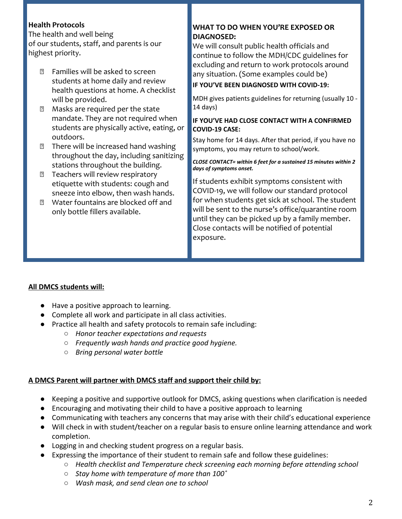### **Health Protocols**

The health and well being of our students, staff, and parents is our highest priority.

- Families will be asked to screen students at home daily and review health questions at home. A checklist will be provided.
- Masks are required per the state mandate. They are not required when students are physically active, eating, or outdoors.
- **There will be increased hand washing** throughout the day, including sanitizing stations throughout the building.
- **T** Teachers will review respiratory etiquette with students: cough and sneeze into elbow, then wash hands.
- Water fountains are blocked off and only bottle fillers available.

#### **WHAT TO DO WHEN YOU'RE EXPOSED OR DIAGNOSED:**

We will consult public health officials and continue to follow the MDH/CDC guidelines for excluding and return to work protocols around any situation. (Some examples could be)

#### **IF YOU'VE BEEN DIAGNOSED WITH COVID-19:**

MDH gives patients guidelines for returning (usually 10 - 14 days)

#### **IF YOU'VE HAD CLOSE CONTACT WITH A CONFIRMED COVID-19 CASE:**

Stay home for 14 days. After that period, if you have no symptoms, you may return to school/work.

#### *CLOSE CONTACT= within 6 feet for a sustained 15 minutes within 2 days of symptoms onset.*

If students exhibit symptoms consistent with COVID-19, we will follow our standard protocol for when students get sick at school. The student will be sent to the nurse's office/quarantine room until they can be picked up by a family member. Close contacts will be notified of potential exposure.

#### **All DMCS students will:**

- Have a positive approach to learning.
- Complete all work and participate in all class activities.
- Practice all health and safety protocols to remain safe including:
	- *○ Honor teacher expectations and requests*
	- *○ Frequently wash hands and practice good hygiene.*
	- *○ Bring personal water bottle*

#### **A DMCS Parent will partner with DMCS staff and support their child by:**

- Keeping a positive and supportive outlook for DMCS, asking questions when clarification is needed
- Encouraging and motivating their child to have a positive approach to learning
- Communicating with teachers any concerns that may arise with their child's educational experience
- Will check in with student/teacher on a regular basis to ensure online learning attendance and work completion.
- Logging in and checking student progress on a regular basis.
- Expressing the importance of their student to remain safe and follow these guidelines:
	- *○ Health checklist and Temperature check screening each morning before attending school*
		- *○ Stay home with temperature of more than 100˚*
		- *○ Wash mask, and send clean one to school*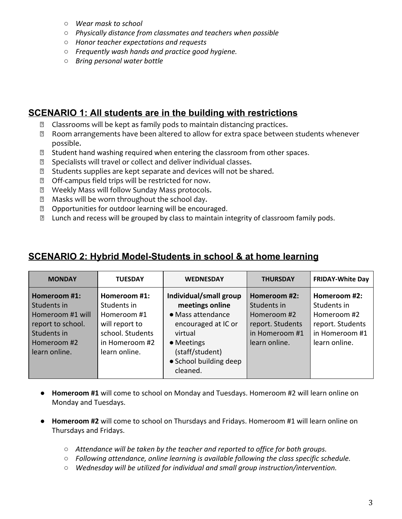- *○ Wear mask to school*
- *○ Physically distance from classmates and teachers when possible*
- *○ Honor teacher expectations and requests*
- *○ Frequently wash hands and practice good hygiene.*
- *○ Bring personal water bottle*

## **SCENARIO 1: All students are in the building with restrictions**

- Classrooms will be kept as family pods to maintain distancing practices.
- Room arrangements have been altered to allow for extra space between students whenever possible.
- $\mathbb D$  Student hand washing required when entering the classroom from other spaces.
- Specialists will travel or collect and deliver individual classes.
- **8** Students supplies are kept separate and devices will not be shared.
- **2** Off-campus field trips will be restricted for now.
- Weekly Mass will follow Sunday Mass protocols.
- Masks will be worn throughout the school day.
- **2** Opportunities for outdoor learning will be encouraged.
- Lunch and recess will be grouped by class to maintain integrity of classroom family pods.

## **SCENARIO 2: Hybrid Model-Students in school & at home learning**

| <b>MONDAY</b>                                                                                                       | <b>TUESDAY</b>                                                                                                      | <b>WEDNESDAY</b>                                                                                                                                                        | <b>THURSDAY</b>                                                                                   | <b>FRIDAY-White Day</b>                                                                           |
|---------------------------------------------------------------------------------------------------------------------|---------------------------------------------------------------------------------------------------------------------|-------------------------------------------------------------------------------------------------------------------------------------------------------------------------|---------------------------------------------------------------------------------------------------|---------------------------------------------------------------------------------------------------|
| Homeroom #1:<br>Students in<br>Homeroom #1 will<br>report to school.<br>Students in<br>Homeroom #2<br>learn online. | Homeroom #1:<br>Students in<br>Homeroom #1<br>will report to<br>school. Students<br>in Homeroom #2<br>learn online. | Individual/small group<br>meetings online<br>• Mass attendance<br>encouraged at IC or<br>virtual<br>• Meetings<br>(staff/student)<br>• School building deep<br>cleaned. | Homeroom #2:<br>Students in<br>Homeroom #2<br>report. Students<br>in Homeroom #1<br>learn online. | Homeroom #2:<br>Students in<br>Homeroom #2<br>report. Students<br>in Homeroom #1<br>learn online. |

- **Homeroom #1** will come to school on Monday and Tuesdays. Homeroom #2 will learn online on Monday and Tuesdays.
- **Homeroom #2** will come to school on Thursdays and Fridays. Homeroom #1 will learn online on Thursdays and Fridays.
	- *○ Attendance will be taken by the teacher and reported to office for both groups.*
	- *○ Following attendance, online learning is available following the class specific schedule.*
	- *○ Wednesday will be utilized for individual and small group instruction/intervention.*